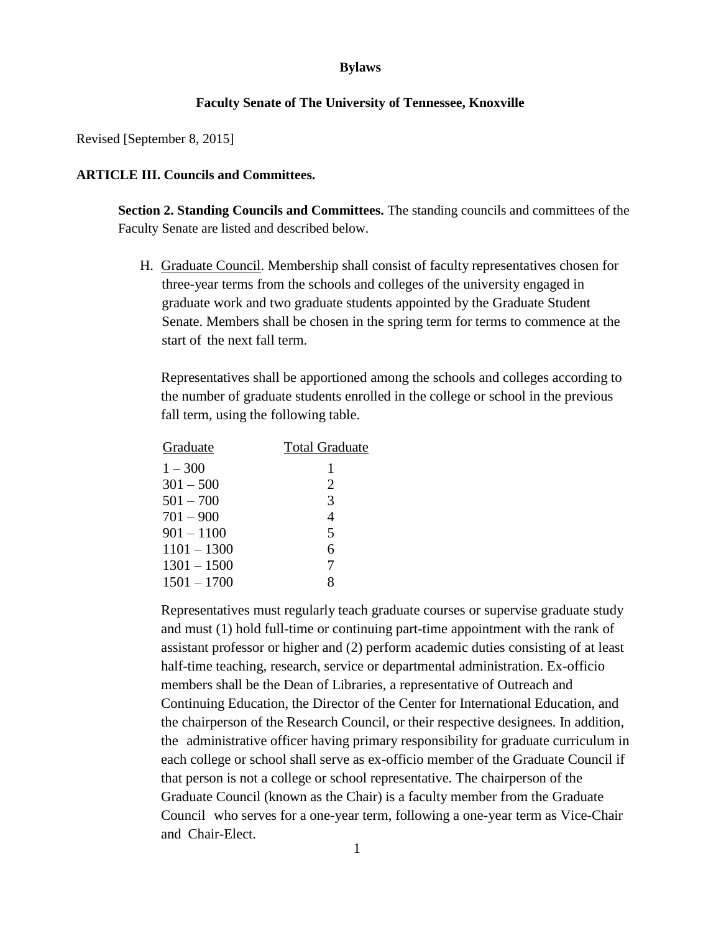## **Bylaws**

## **Faculty Senate of The University of Tennessee, Knoxville**

Revised [September 8, 2015]

## **ARTICLE III. Councils and Committees.**

**Section 2. Standing Councils and Committees.** The standing councils and committees of the Faculty Senate are listed and described below.

H. Graduate Council. Membership shall consist of faculty representatives chosen for three-year terms from the schools and colleges of the university engaged in graduate work and two graduate students appointed by the Graduate Student Senate. Members shall be chosen in the spring term for terms to commence at the start of the next fall term.

Representatives shall be apportioned among the schools and colleges according to the number of graduate students enrolled in the college or school in the previous fall term, using the following table.

| Graduate      | <b>Total Graduate</b> |
|---------------|-----------------------|
| $1 - 300$     | 1                     |
| $301 - 500$   | 2                     |
| $501 - 700$   | 3                     |
| $701 - 900$   | 4                     |
| $901 - 1100$  | 5                     |
| $1101 - 1300$ | 6                     |
| $1301 - 1500$ | 7                     |
| $1501 - 1700$ | g                     |

Representatives must regularly teach graduate courses or supervise graduate study and must (1) hold full-time or continuing part-time appointment with the rank of assistant professor or higher and (2) perform academic duties consisting of at least half-time teaching, research, service or departmental administration. Ex-officio members shall be the Dean of Libraries, a representative of Outreach and Continuing Education, the Director of the Center for International Education, and the chairperson of the Research Council, or their respective designees. In addition, the administrative officer having primary responsibility for graduate curriculum in each college or school shall serve as ex-officio member of the Graduate Council if that person is not a college or school representative. The chairperson of the Graduate Council (known as the Chair) is a faculty member from the Graduate Council who serves for a one-year term, following a one-year term as Vice-Chair and Chair-Elect.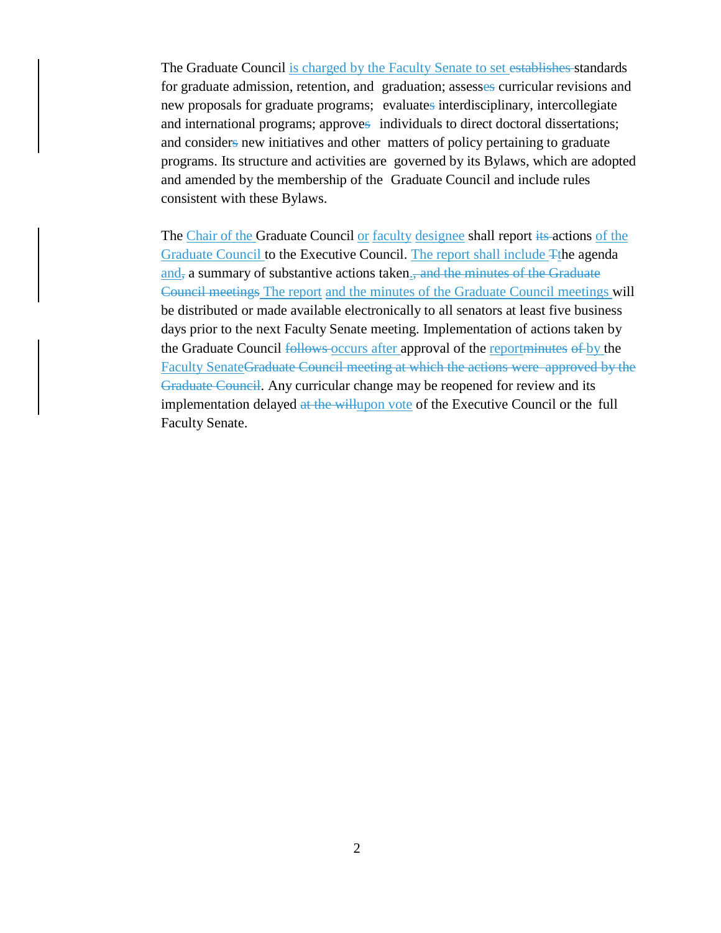The Graduate Council is charged by the Faculty Senate to set establishes standards for graduate admission, retention, and graduation; assesses curricular revisions and new proposals for graduate programs; evaluates interdisciplinary, intercollegiate and international programs; approves individuals to direct doctoral dissertations; and considers new initiatives and other matters of policy pertaining to graduate programs. Its structure and activities are governed by its Bylaws, which are adopted and amended by the membership of the Graduate Council and include rules consistent with these Bylaws.

The Chair of the Graduate Council or faculty designee shall report its actions of the Graduate Council to the Executive Council. The report shall include Tthe agenda and, a summary of substantive actions taken., and the minutes of the Graduate Council meetings The report and the minutes of the Graduate Council meetings will be distributed or made available electronically to all senators at least five business days prior to the next Faculty Senate meeting. Implementation of actions taken by the Graduate Council follows occurs after approval of the reportminutes of by the Faculty SenateGraduate Council meeting at which the actions were approved by the Graduate Council. Any curricular change may be reopened for review and its implementation delayed at the willupon vote of the Executive Council or the full Faculty Senate.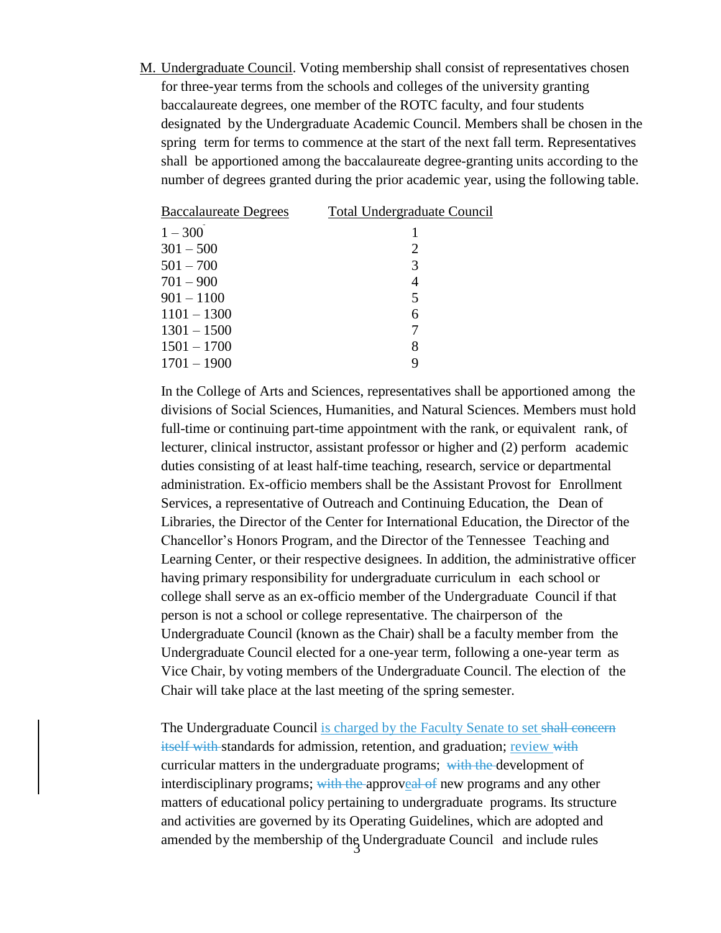M. Undergraduate Council. Voting membership shall consist of representatives chosen for three-year terms from the schools and colleges of the university granting baccalaureate degrees, one member of the ROTC faculty, and four students designated by the Undergraduate Academic Council. Members shall be chosen in the spring term for terms to commence at the start of the next fall term. Representatives shall be apportioned among the baccalaureate degree-granting units according to the number of degrees granted during the prior academic year, using the following table.

| <b>Total Undergraduate Council</b> |
|------------------------------------|
|                                    |
| 2                                  |
| 3                                  |
| 4                                  |
| 5                                  |
| 6                                  |
| 7                                  |
| 8                                  |
|                                    |
|                                    |

In the College of Arts and Sciences, representatives shall be apportioned among the divisions of Social Sciences, Humanities, and Natural Sciences. Members must hold full-time or continuing part-time appointment with the rank, or equivalent rank, of lecturer, clinical instructor, assistant professor or higher and (2) perform academic duties consisting of at least half-time teaching, research, service or departmental administration. Ex-officio members shall be the Assistant Provost for Enrollment Services, a representative of Outreach and Continuing Education, the Dean of Libraries, the Director of the Center for International Education, the Director of the Chancellor's Honors Program, and the Director of the Tennessee Teaching and Learning Center, or their respective designees. In addition, the administrative officer having primary responsibility for undergraduate curriculum in each school or college shall serve as an ex-officio member of the Undergraduate Council if that person is not a school or college representative. The chairperson of the Undergraduate Council (known as the Chair) shall be a faculty member from the Undergraduate Council elected for a one-year term, following a one-year term as Vice Chair, by voting members of the Undergraduate Council. The election of the Chair will take place at the last meeting of the spring semester.

amended by the membership of the Undergraduate Council and include rules The Undergraduate Council is charged by the Faculty Senate to set shall concerned itself with standards for admission, retention, and graduation; review with curricular matters in the undergraduate programs; with the development of interdisciplinary programs; with the approveal of new programs and any other matters of educational policy pertaining to undergraduate programs. Its structure and activities are governed by its Operating Guidelines, which are adopted and